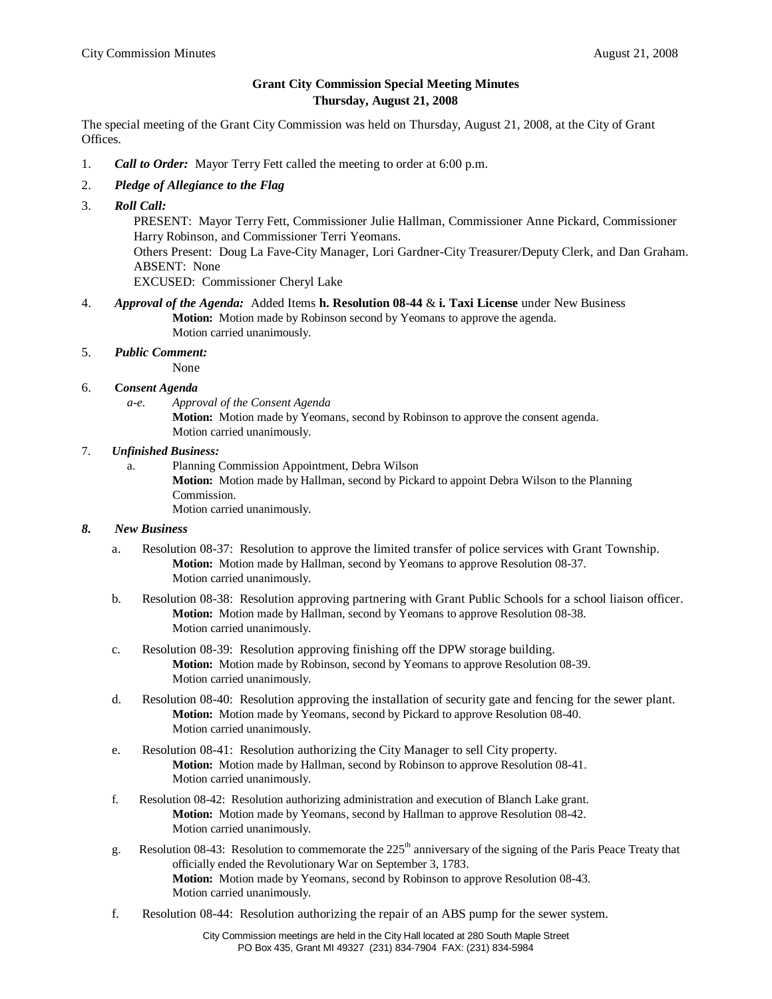## **Grant City Commission Special Meeting Minutes Thursday, August 21, 2008**

The special meeting of the Grant City Commission was held on Thursday, August 21, 2008, at the City of Grant Offices.

1. *Call to Order:* Mayor Terry Fett called the meeting to order at 6:00 p.m.

### 2. *Pledge of Allegiance to the Flag*

3. *Roll Call:*

 PRESENT: Mayor Terry Fett, Commissioner Julie Hallman, Commissioner Anne Pickard, Commissioner Harry Robinson, and Commissioner Terri Yeomans.

 Others Present: Doug La Fave-City Manager, Lori Gardner-City Treasurer/Deputy Clerk, and Dan Graham. ABSENT: None

EXCUSED: Commissioner Cheryl Lake

- 4. *Approval of the Agenda:* Added Items **h. Resolution 08-44** & **i. Taxi License** under New Business **Motion:** Motion made by Robinson second by Yeomans to approve the agenda. Motion carried unanimously.
- 5. *Public Comment:*

None

#### 6. **C***onsent Agenda*

*a-e. Approval of the Consent Agenda* **Motion:** Motion made by Yeomans, second by Robinson to approve the consent agenda. Motion carried unanimously.

#### 7. *Unfinished Business:*

a. Planning Commission Appointment, Debra Wilson **Motion:** Motion made by Hallman, second by Pickard to appoint Debra Wilson to the Planning Commission. Motion carried unanimously.

#### *8. New Business*

- a. Resolution 08-37: Resolution to approve the limited transfer of police services with Grant Township. **Motion:** Motion made by Hallman, second by Yeomans to approve Resolution 08-37. Motion carried unanimously.
- b. Resolution 08-38: Resolution approving partnering with Grant Public Schools for a school liaison officer. **Motion:** Motion made by Hallman, second by Yeomans to approve Resolution 08-38. Motion carried unanimously.
- c. Resolution 08-39: Resolution approving finishing off the DPW storage building. **Motion:** Motion made by Robinson, second by Yeomans to approve Resolution 08-39. Motion carried unanimously.
- d. Resolution 08-40: Resolution approving the installation of security gate and fencing for the sewer plant. **Motion:** Motion made by Yeomans, second by Pickard to approve Resolution 08-40. Motion carried unanimously.
- e. Resolution 08-41: Resolution authorizing the City Manager to sell City property. **Motion:** Motion made by Hallman, second by Robinson to approve Resolution 08-41. Motion carried unanimously.
- f. Resolution 08-42: Resolution authorizing administration and execution of Blanch Lake grant. **Motion:** Motion made by Yeomans, second by Hallman to approve Resolution 08-42. Motion carried unanimously.
- g. Resolution 08-43: Resolution to commemorate the  $225<sup>th</sup>$  anniversary of the signing of the Paris Peace Treaty that officially ended the Revolutionary War on September 3, 1783. **Motion:** Motion made by Yeomans, second by Robinson to approve Resolution 08-43. Motion carried unanimously.
- f. Resolution 08-44: Resolution authorizing the repair of an ABS pump for the sewer system.